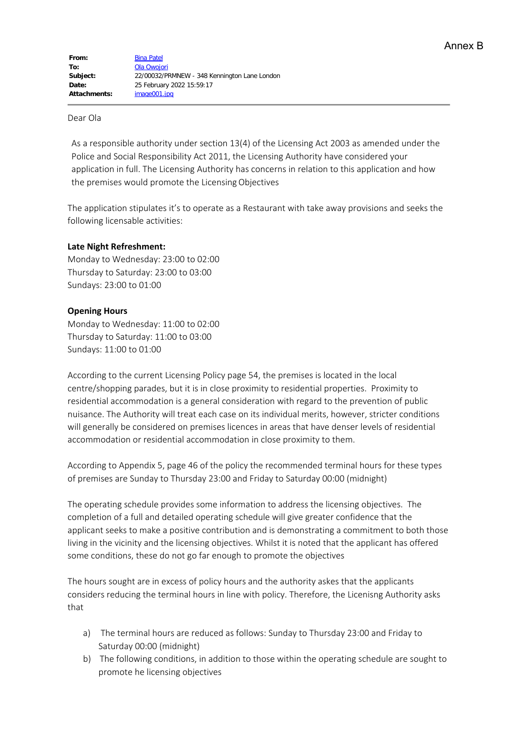## Dear Ola

As a responsible authority under section 13(4) of the Licensing Act 2003 as amended under the Police and Social Responsibility Act 2011, the Licensing Authority have considered your application in full. The Licensing Authority has concerns in relation to this application and how the premises would promote the Licensing Objectives

The application stipulates it's to operate as a Restaurant with take away provisions and seeks the following licensable activities:

# **Late Night Refreshment:**

Monday to Wednesday: 23:00 to 02:00 Thursday to Saturday: 23:00 to 03:00 Sundays: 23:00 to 01:00

# **Opening Hours**

Monday to Wednesday: 11:00 to 02:00 Thursday to Saturday: 11:00 to 03:00 Sundays: 11:00 to 01:00

According to the current Licensing Policy page 54, the premises is located in the local centre/shopping parades, but it is in close proximity to residential properties. Proximity to residential accommodation is a general consideration with regard to the prevention of public nuisance. The Authority will treat each case on its individual merits, however, stricter conditions will generally be considered on premises licences in areas that have denser levels of residential accommodation or residential accommodation in close proximity to them.

According to Appendix 5, page 46 of the policy the recommended terminal hours for these types of premises are Sunday to Thursday 23:00 and Friday to Saturday 00:00 (midnight)

The operating schedule provides some information to address the licensing objectives. The completion of a full and detailed operating schedule will give greater confidence that the applicant seeks to make a positive contribution and is demonstrating a commitment to both those living in the vicinity and the licensing objectives. Whilst it is noted that the applicant has offered some conditions, these do not go far enough to promote the objectives

The hours sought are in excess of policy hours and the authority askes that the applicants considers reducing the terminal hours in line with policy. Therefore, the Licenisng Authority asks that

- a) The terminal hours are reduced as follows: Sunday to Thursday 23:00 and Friday to Saturday 00:00 (midnight)
- b) The following conditions, in addition to those within the operating schedule are sought to promote he licensing objectives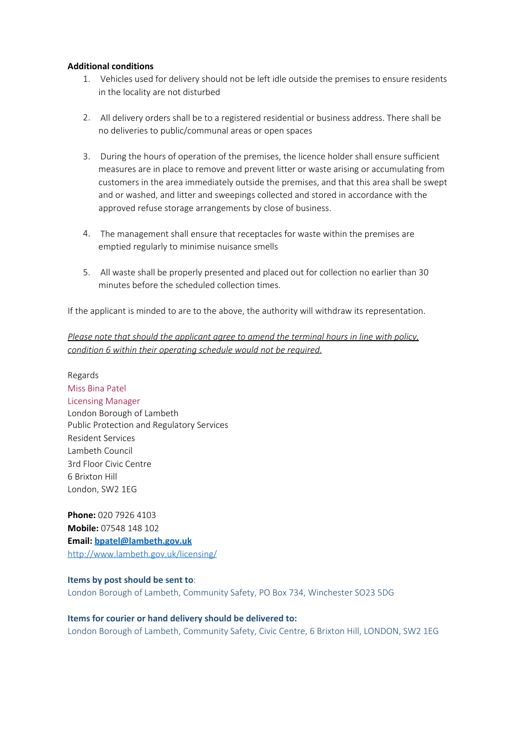## **Additional conditions**

- 1. Vehicles used for delivery should not be left idle outside the premises to ensure residents in the locality are not disturbed
- 2. All delivery orders shall be to a registered residential or business address. There shall be no deliveries to public/communal areas or open spaces
- 3. During the hours of operation of the premises, the licence holder shall ensure sufficient measures are in place to remove and prevent litter or waste arising or accumulating from customers in the area immediately outside the premises, and that this area shall be swept and or washed, and litter and sweepings collected and stored in accordance with the approved refuse storage arrangements by close of business.
- 4. The management shall ensure that receptacles for waste within the premises are emptied regularly to minimise nuisance smells
- 5. All waste shall be properly presented and placed out for collection no earlier than 30 minutes before the scheduled collection times.

If the applicant is minded to are to the above, the authority will withdraw its representation.

*Please note that should the applicant agree to amend the terminal hours in line with policy, condition 6 within their operating schedule would not be required.*

Regards Miss Bina Patel Licensing Manager London Borough of Lambeth Public Protection and Regulatory Services Resident Services Lambeth Council 3rd Floor Civic Centre 6 Brixton Hill London, SW2 1EG

**Phone:** 020 7926 4103 **Mobile:** 07548 148 102 **Email: [bpatel@lambeth.gov.uk](mailto:bpatel@lambeth.gov.uk)** <http://www.lambeth.gov.uk/licensing/>

#### **Items by post should be sent to**:

London Borough of Lambeth, Community Safety, PO Box 734, Winchester SO23 5DG

### **Items for courier or hand delivery should be delivered to:**

London Borough of Lambeth, Community Safety, Civic Centre, 6 Brixton Hill, LONDON, SW2 1EG